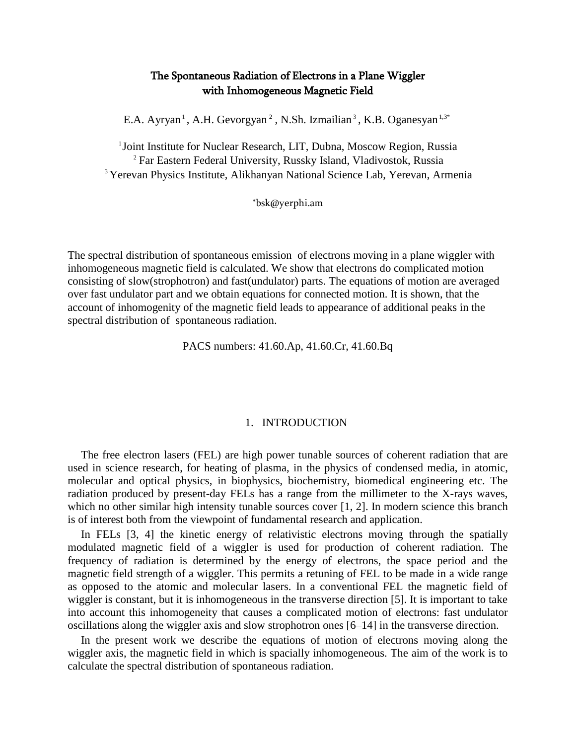# The Spontaneous Radiation of Electrons in a Plane Wiggler with Inhomogeneous Magnetic Field

E.A. Ayryan<sup>1</sup>, A.H. Gevorgyan<sup>2</sup>, N.Sh. Izmailian<sup>3</sup>, K.B. Oganesyan<sup>1,3\*</sup>

<sup>1</sup>Joint Institute for Nuclear Research, LIT, Dubna, Moscow Region, Russia <sup>2</sup> Far Eastern Federal University, Russky Island, Vladivostok, Russia <sup>3</sup> Yerevan Physics Institute, Alikhanyan National Science Lab, Yerevan, Armenia

\*bsk@yerphi.am

The spectral distribution of spontaneous emission of electrons moving in a plane wiggler with inhomogeneous magnetic field is calculated. We show that electrons do complicated motion consisting of slow(strophotron) and fast(undulator) parts. The equations of motion are averaged over fast undulator part and we obtain equations for connected motion. It is shown, that the account of inhomogenity of the magnetic field leads to appearance of additional peaks in the spectral distribution of spontaneous radiation.

PACS numbers: 41.60.Ap, 41.60.Cr, 41.60.Bq

### 1. INTRODUCTION

The free electron lasers (FEL) are high power tunable sources of coherent radiation that are used in science research, for heating of plasma, in the physics of condensed media, in atomic, molecular and optical physics, in biophysics, biochemistry, biomedical engineering etc. The radiation produced by present-day FELs has a range from the millimeter to the X-rays waves, which no other similar high intensity tunable sources cover [1, 2]. In modern science this branch is of interest both from the viewpoint of fundamental research and application.

In FELs [3, 4] the kinetic energy of relativistic electrons moving through the spatially modulated magnetic field of a wiggler is used for production of coherent radiation. The frequency of radiation is determined by the energy of electrons, the space period and the magnetic field strength of a wiggler. This permits a retuning of FEL to be made in a wide range as opposed to the atomic and molecular lasers. In a conventional FEL the magnetic field of wiggler is constant, but it is inhomogeneous in the transverse direction [5]. It is important to take into account this inhomogeneity that causes a complicated motion of electrons: fast undulator oscillations along the wiggler axis and slow strophotron ones [6–14] in the transverse direction.

In the present work we describe the equations of motion of electrons moving along the wiggler axis, the magnetic field in which is spacially inhomogeneous. The aim of the work is to calculate the spectral distribution of spontaneous radiation.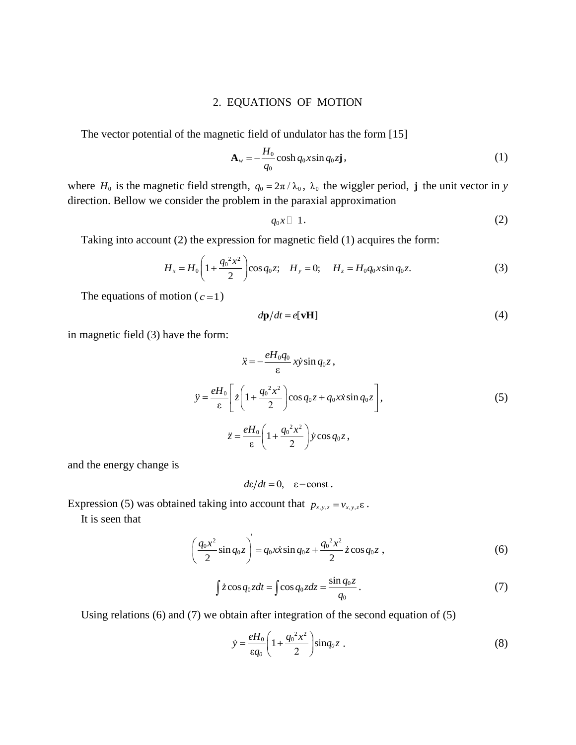# 2. EQUATIONS OF MOTION

The vector potential of the magnetic field of undulator has the form [15]

$$
\mathbf{A}_w = -\frac{H_0}{q_0} \cosh q_0 x \sin q_0 z \mathbf{j},\tag{1}
$$

where  $H_0$  is the magnetic field strength,  $q_0 = 2\pi / \lambda_0$ ,  $\lambda_0$  the wiggler period, **j** the unit vector in *y* direction. Bellow we consider the problem in the paraxial approximation

$$
q_0x \Box \ 1. \tag{2}
$$

Taking into account (2) the expression for magnetic field (1) acquires the form:

$$
H_x = H_0 \left( 1 + \frac{q_0^2 x^2}{2} \right) \cos q_0 z; \quad H_y = 0; \quad H_z = H_0 q_0 x \sin q_0 z. \tag{3}
$$

The equations of motion  $(c=1)$ 

$$
d\mathbf{p}/dt = e[\mathbf{v}\mathbf{H}] \tag{4}
$$

in magnetic field (3) have the form:

$$
\ddot{x} = -\frac{eH_0 q_0}{\varepsilon} x \dot{y} \sin q_0 z ,
$$
  

$$
\ddot{y} = \frac{eH_0}{\varepsilon} \left[ \dot{z} \left( 1 + \frac{q_0^2 x^2}{2} \right) \cos q_0 z + q_0 x \dot{x} \sin q_0 z \right],
$$
  

$$
\ddot{z} = \frac{eH_0}{\varepsilon} \left( 1 + \frac{q_0^2 x^2}{2} \right) \dot{y} \cos q_0 z ,
$$
 (5)

and the energy change is

$$
d\varepsilon/dt = 0, \quad \varepsilon = \text{const.}
$$

Expression (5) was obtained taking into account that  $p_{x,y,z} = v_{x,y,z} \varepsilon$ .

It is seen that

$$
\left(\frac{q_0 x^2}{2}\sin q_0 z\right) = q_0 x \dot{x} \sin q_0 z + \frac{q_0^2 x^2}{2} \dot{z} \cos q_0 z ,
$$
 (6)

$$
\int z\cos q_0 z dt = \int \cos q_0 z dz = \frac{\sin q_0 z}{q_0}.
$$
\n(7)

Using relations (6) and (7) we obtain after integration of the second equation of (5)

$$
\dot{y} = \frac{eH_0}{\epsilon q_0} \left( 1 + \frac{q_0^2 x^2}{2} \right) \sin q_0 z \; . \tag{8}
$$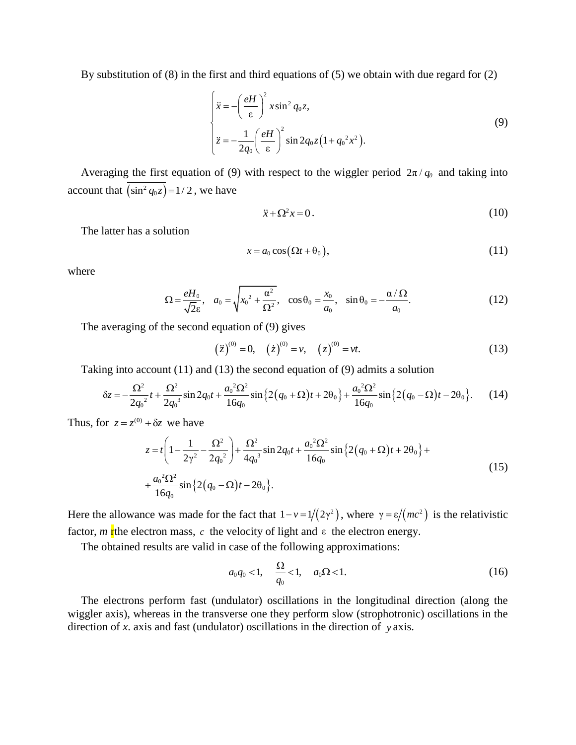By substitution of (8) in the first and third equations of (5) we obtain with due regard for (2)

$$
\begin{cases}\n\ddot{x} = -\left(\frac{eH}{\varepsilon}\right)^2 x \sin^2 q_0 z, \\
\ddot{z} = -\frac{1}{2q_0} \left(\frac{eH}{\varepsilon}\right)^2 \sin 2q_0 z \left(1 + q_0^2 x^2\right).\n\end{cases}
$$
\n(9)

Averaging the first equation of (9) with respect to the wiggler period  $2\pi/q_0$  and taking into account that  $(\sin^2 q_0 z) = 1/2$ , we have

$$
\ddot{x} + \Omega^2 x = 0. \tag{10}
$$

The latter has a solution

$$
x = a_0 \cos(\Omega t + \theta_0), \tag{11}
$$

where

$$
\Omega = \frac{eH_0}{\sqrt{2\varepsilon}}, \quad a_0 = \sqrt{x_0^2 + \frac{\alpha^2}{\Omega^2}}, \quad \cos\theta_0 = \frac{x_0}{a_0}, \quad \sin\theta_0 = -\frac{\alpha/\Omega}{a_0}.
$$
 (12)

The averaging of the second equation of (9) gives

$$
(\ddot{z})^{(0)} = 0, \quad (\dot{z})^{(0)} = v, \quad (z)^{(0)} = vt.
$$
 (13)

$$
(\ddot{z})^{(0)} = 0, \quad (\dot{z})^{(0)} = v, \quad (z)^{(0)} = vt. \tag{13}
$$
\nTaking into account (11) and (13) the second equation of (9) admits a solution\n
$$
\delta z = -\frac{\Omega^2}{2q_0^2}t + \frac{\Omega^2}{2q_0^3}\sin 2q_0t + \frac{a_0^2\Omega^2}{16q_0}\sin \left\{2\left(q_0 + \Omega\right)t + 2\theta_0\right\} + \frac{a_0^2\Omega^2}{16q_0}\sin \left\{2\left(q_0 - \Omega\right)t - 2\theta_0\right\}. \tag{14}
$$

Thus, for  $z = z^{(0)} + \delta z$  we have

+
$$
\delta z
$$
 we have  
\n
$$
z = t \left( 1 - \frac{1}{2\gamma^2} - \frac{\Omega^2}{2{q_0}^2} \right) + \frac{\Omega^2}{4{q_0}^3} \sin 2{q_0}t + \frac{{a_0}^2 \Omega^2}{16{q_0}} \sin \{ 2{(q_0 + \Omega)}t + 2\theta_0 \} + \frac{{a_0}^2 \Omega^2}{16{q_0}} \sin \{ 2{(q_0 - \Omega)}t - 2\theta_0 \}.
$$
\n(15)

Here the allowance was made for the fact that  $1 - v = 1/(2\gamma^2)$ , where  $\gamma = \varepsilon/(mc^2)$  is the relativistic factor, *m* r the electron mass, *c* the velocity of light and ε the electron energy.

The obtained results are valid in case of the following approximations:

$$
a_0 q_0 < 1, \quad \frac{\Omega}{q_0} < 1, \quad a_0 \Omega < 1. \tag{16}
$$

The electrons perform fast (undulator) oscillations in the longitudinal direction (along the wiggler axis), whereas in the transverse one they perform slow (strophotronic) oscillations in the direction of *x*. axis and fast (undulator) oscillations in the direction of *y* axis.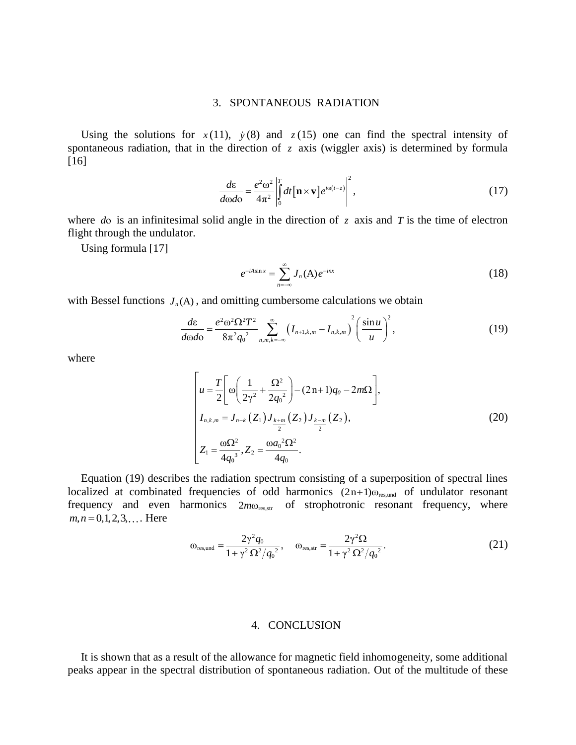## 3. SPONTANEOUS RADIATION

Using the solutions for  $x(11)$ ,  $y(8)$  and  $z(15)$  one can find the spectral intensity of spontaneous radiation, that in the direction of  $z$  axis (wiggler axis) is determined by formula [16]

$$
\frac{d\varepsilon}{d\omega d\sigma} = \frac{e^2 \omega^2}{4\pi^2} \left| \int_0^T dt \left[ \mathbf{n} \times \mathbf{v} \right] e^{i\omega(t-z)} \right|^2, \tag{17}
$$

where  $d\theta$  is an infinitesimal solid angle in the direction of  $\zeta$  axis and  $T$  is the time of electron flight through the undulator.

Using formula [17]

$$
e^{-iA\sin x} = \sum_{n=-\infty}^{\infty} J_n(A) e^{-inx}
$$
 (18)

with Bessel functions 
$$
J_n(A)
$$
, and omitting cumbersome calculations we obtain  
\n
$$
\frac{d\varepsilon}{d\omega d\sigma} = \frac{e^2 \omega^2 \Omega^2 T^2}{8\pi^2 q_0^2} \sum_{n,m,k=-\infty}^{\infty} \left(I_{n+1,k,m} - I_{n,k,m}\right)^2 \left(\frac{\sin u}{u}\right)^2,
$$
\n(19)

where

$$
\begin{bmatrix}\nu = \frac{T}{2} \left[ \omega \left( \frac{1}{2\gamma^2} + \frac{\Omega^2}{2q_0^2} \right) - (2n+1)q_0 - 2m\Omega \right], \nI_{n,k,m} = J_{n-k} (Z_1) J_{\frac{k+m}{2}} (Z_2) J_{\frac{k-m}{2}} (Z_2), \nZ_1 = \frac{\omega \Omega^2}{4q_0^3}, Z_2 = \frac{\omega a_0^2 \Omega^2}{4q_0}.\n\end{bmatrix}
$$
\n(20)

Equation (19) describes the radiation spectrum consisting of a superposition of spectral lines localized at combinated frequencies of odd harmonics  $(2n+1)\omega_{res,und}$  of undulator resonant frequency and even harmonics  $2m\omega_{\text{res,str}}$  of strophotronic resonant frequency, where  $m, n = 0, 1, 2, 3, \dots$  Here

$$
\omega_{\rm res, und} = \frac{2\gamma^2 q_0}{1 + \gamma^2 \Omega^2 / q_0^2}, \quad \omega_{\rm res, str} = \frac{2\gamma^2 \Omega}{1 + \gamma^2 \Omega^2 / q_0^2}.
$$
 (21)

# 4. CONCLUSION

It is shown that as a result of the allowance for magnetic field inhomogeneity, some additional peaks appear in the spectral distribution of spontaneous radiation. Out of the multitude of these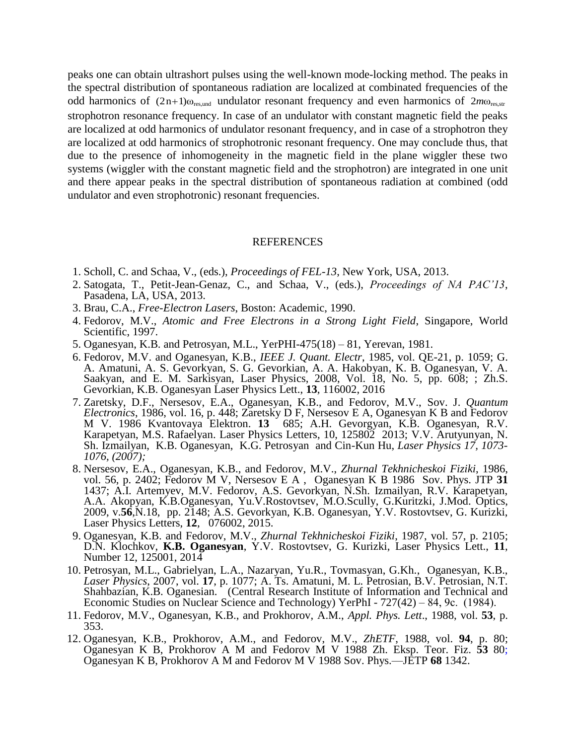peaks one can obtain ultrashort pulses using the well-known mode-locking method. The peaks in the spectral distribution of spontaneous radiation are localized at combinated frequencies of the odd harmonics of  $(2n+1) \omega_{res,und}$  undulator resonant frequency and even harmonics of  $2m\omega_{res,str}$ strophotron resonance frequency. In case of an undulator with constant magnetic field the peaks are localized at odd harmonics of undulator resonant frequency, and in case of а strophotron they are localized at odd harmonics of strophotronic resonant frequency. One may conclude thus, that due to the presence of inhomogeneity in the magnetic field in the plane wiggler these two systems (wiggler with the constant magnetic field and the strophotron) are integrated in one unit and there appear peaks in the spectral distribution of spontaneous radiation at combined (odd undulator and even strophotronic) resonant frequencies.

### REFERENCES

- 1. Scholl, C. and Schaa, V., (eds.), *Proceedings of FEL-13*, New York, USA, 2013.
- 2. Satogata, T., Petit-Jean-Genaz, C., and Schaa, V., (eds.), *Proceedings of NA PAC'13*, Pasadena, LA, USA, 2013.
- 3. Brau, C.A., *Free-Electron Lasers*, Boston: Academic, 1990.
- 4. Fedorov, M.V., *Atomic and Free Electrons in a Strong Light Field*, Singapore, World Scientific, 1997.
- 5. Oganesyan, K.B. and Petrosyan, M.L., YerPHI-475(18) 81, Yerevan, 1981.
- 6. Fedorov, M.V. and Oganesyan, K.B., *IEEE J. Quant. Electr*, 1985, vol. QE-21, p. 1059; G. A. Amatuni, A. S. Gevorkyan, S. G. Gevorkian, A. A. Hakobyan, K. B. Oganesyan, V. A. Saakyan, and E. M. Sarkisyan, Laser Physics, 2008, Vol. 18, No. 5, pp. 608; ; Zh.S. Gevorkian, K.B. Oganesyan Laser Physics Lett., **13**, 116002, 2016
- 7. Zaretsky, D.F., Nersesov, E.A., Oganesyan, K.B., and Fedorov, M.V., Sov. J. *Quantum Electronics*, 1986, vol. 16, p. 448; Zaretsky D F, Nersesov E A, Oganesyan K B and Fedorov M V. 1986 Kvantovaya Elektron. **13** 685; A.H. Gevorgyan, K.B. Oganesyan, R.V. Karapetyan, M.S. Rafaelyan. Laser Physics Letters, 10, 125802 2013; V.V. Arutyunyan, N. Sh. Izmailyan, K.B. Oganesyan, K.G. Petrosyan and Cin-Kun Hu, *Laser Physics 17, 1073- 1076, (2007);*
- 8. Nersesov, E.A., Oganesyan, K.B., and Fedorov, M.V., *Zhurnal Tekhnicheskoi Fiziki*, 1986, vol. 56, p. 2402; Fedorov M V, Nersesov E A , Oganesyan K B 1986 Sov. Phys. JTP **31**  1437; A.I. Artemyev, M.V. Fedorov, A.S. Gevorkyan, N.Sh. Izmailyan, R.V. Karapetyan, A.A. Akopyan, K.B.Oganesyan, Yu.V.Rostovtsev, M.O.Scully, G.Kuritzki, J.Mod. Optics, 2009, v.**56**,N.18, pp. 2148; A.S. Gevorkyan, K.B. Oganesyan, Y.V. Rostovtsev, G. Kurizki, Laser Physics Letters, **12**, 076002, 2015.
- 9. Oganesyan, K.B. and Fedorov, M.V., *Zhurnal Tekhnicheskoi Fiziki*, 1987, vol. 57, p. 2105; D.N. Klochkov, **K.B. Oganesyan**, Y.V. Rostovtsev, G. Kurizki, Laser Physics Lett., **11**, Number 12, 125001, 2014
- 10. Petrosyan, M.L., Gabrielyan, L.A., Nazaryan, Yu.R., Tovmasyan, G.Kh., Oganesyan, K.B., *Laser Physics*, 2007, vol. **17**, p. 1077; A. Ts. Amatuni, M. L. Petrosian, B.V. Petrosian, N.T. Shahbazian, K.B. Oganesian. (Central Research Institute of Information and Technical and Economic Studies on Nuclear Science and Technology) YerPhI - 727(42) – 84, 9с. (1984).
- 11. Fedorov, M.V., Oganesyan, K.B., and Prokhorov, A.M., *Appl. Phys. Lett*., 1988, vol. **53**, p. 353.
- 12. Oganesyan, K.B., Prokhorov, A.M., and Fedorov, M.V., *ZhETF*, 1988, vol. **94**, p. 80; Oganesyan K B, Prokhorov A M and Fedorov M V 1988 Zh. Eksp. Teor. Fiz. **53** 80; Oganesyan K B, Prokhorov A M and Fedorov M V 1988 Sov. Phys.—JETP **68** 1342.